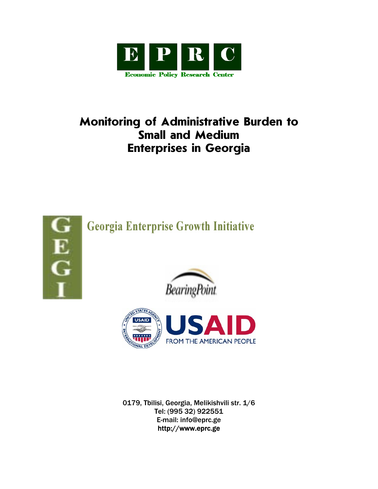

# **Monitoring of Administrative Burden to Small and Medium Enterprises in Georgia**



**Georgia Enterprise Growth Initiative** 





0179, Tbilisi, Georgia, Melikishvili str. 1/6 Tel: (995 32) 922551 E-mail: info@eprc.ge http://www.eprc.ge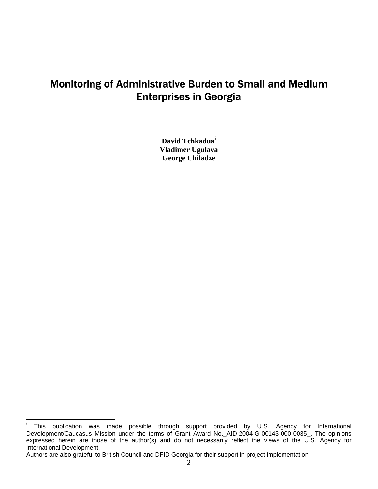## Monitoring of Administrative Burden to Small and Medium Enterprises in Georgia

**David Tchkadua[i](#page-1-0) Vladimer Ugulava George Chiladze** 

<span id="page-1-0"></span> $\mathbf{i}$ This publication was made possible through support provided by U.S. Agency for International Development/Caucasus Mission under the terms of Grant Award No.\_AID-2004-G-00143-000-0035\_. The opinions expressed herein are those of the author(s) and do not necessarily reflect the views of the U.S. Agency for International Development.

Authors are also grateful to British Council and DFID Georgia for their support in project implementation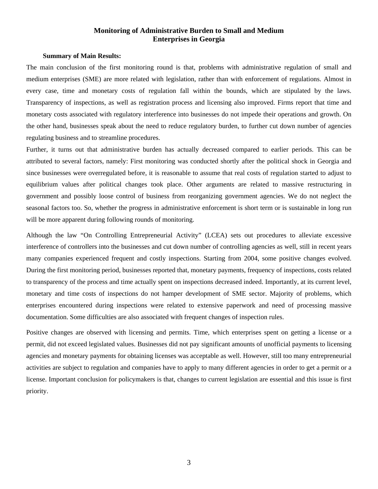## **Monitoring of Administrative Burden to Small and Medium Enterprises in Georgia**

#### **Summary of Main Results:**

The main conclusion of the first monitoring round is that, problems with administrative regulation of small and medium enterprises (SME) are more related with legislation, rather than with enforcement of regulations. Almost in every case, time and monetary costs of regulation fall within the bounds, which are stipulated by the laws. Transparency of inspections, as well as registration process and licensing also improved. Firms report that time and monetary costs associated with regulatory interference into businesses do not impede their operations and growth. On the other hand, businesses speak about the need to reduce regulatory burden, to further cut down number of agencies regulating business and to streamline procedures.

Further, it turns out that administrative burden has actually decreased compared to earlier periods. This can be attributed to several factors, namely: First monitoring was conducted shortly after the political shock in Georgia and since businesses were overregulated before, it is reasonable to assume that real costs of regulation started to adjust to equilibrium values after political changes took place. Other arguments are related to massive restructuring in government and possibly loose control of business from reorganizing government agencies. We do not neglect the seasonal factors too. So, whether the progress in administrative enforcement is short term or is sustainable in long run will be more apparent during following rounds of monitoring.

Although the law "On Controlling Entrepreneurial Activity" (LCEA) sets out procedures to alleviate excessive interference of controllers into the businesses and cut down number of controlling agencies as well, still in recent years many companies experienced frequent and costly inspections. Starting from 2004, some positive changes evolved. During the first monitoring period, businesses reported that, monetary payments, frequency of inspections, costs related to transparency of the process and time actually spent on inspections decreased indeed. Importantly, at its current level, monetary and time costs of inspections do not hamper development of SME sector. Majority of problems, which enterprises encountered during inspections were related to extensive paperwork and need of processing massive documentation. Some difficulties are also associated with frequent changes of inspection rules.

Positive changes are observed with licensing and permits. Time, which enterprises spent on getting a license or a permit, did not exceed legislated values. Businesses did not pay significant amounts of unofficial payments to licensing agencies and monetary payments for obtaining licenses was acceptable as well. However, still too many entrepreneurial activities are subject to regulation and companies have to apply to many different agencies in order to get a permit or a license. Important conclusion for policymakers is that, changes to current legislation are essential and this issue is first priority.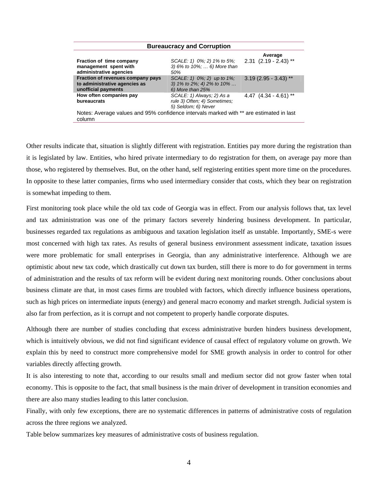| <b>Bureaucracy and Corruption</b>                                                                 |                                                                                          |                                      |  |
|---------------------------------------------------------------------------------------------------|------------------------------------------------------------------------------------------|--------------------------------------|--|
| Fraction of time company<br>management spent with<br>administrative agencies                      | SCALE: 1) 0%; 2) 1% to 5%;<br>3) 6% to 10%;  6) More than<br>50%                         | Average<br>$2.31$ $(2.19 - 2.43)$ ** |  |
| Fraction of revenues company pays<br>to administrative agencies as<br>unofficial payments         | SCALE: 1) 0%; 2) up to 1%;<br>3) $1\%$ to $2\%$ ; 4) $2\%$ to $10\%$<br>6) More than 25% | $3.19$ (2.95 - 3.43) **              |  |
| How often companies pay<br>bureaucrats                                                            | SCALE: 1) Always; 2) As a<br>rule 3) Often; 4) Sometimes;<br>5) Seldom; 6) Never         | 4.47 $(4.34 - 4.61)$ **              |  |
| Notes: Average values and 95% confidence intervals marked with ** are estimated in last<br>column |                                                                                          |                                      |  |

Other results indicate that, situation is slightly different with registration. Entities pay more during the registration than it is legislated by law. Entities, who hired private intermediary to do registration for them, on average pay more than those, who registered by themselves. But, on the other hand, self registering entities spent more time on the procedures. In opposite to these latter companies, firms who used intermediary consider that costs, which they bear on registration is somewhat impeding to them.

First monitoring took place while the old tax code of Georgia was in effect. From our analysis follows that, tax level and tax administration was one of the primary factors severely hindering business development. In particular, businesses regarded tax regulations as ambiguous and taxation legislation itself as unstable. Importantly, SME-s were most concerned with high tax rates. As results of general business environment assessment indicate, taxation issues were more problematic for small enterprises in Georgia, than any administrative interference. Although we are optimistic about new tax code, which drastically cut down tax burden, still there is more to do for government in terms of administration and the results of tax reform will be evident during next monitoring rounds. Other conclusions about business climate are that, in most cases firms are troubled with factors, which directly influence business operations, such as high prices on intermediate inputs (energy) and general macro economy and market strength. Judicial system is also far from perfection, as it is corrupt and not competent to properly handle corporate disputes.

Although there are number of studies concluding that excess administrative burden hinders business development, which is intuitively obvious, we did not find significant evidence of causal effect of regulatory volume on growth. We explain this by need to construct more comprehensive model for SME growth analysis in order to control for other variables directly affecting growth.

It is also interesting to note that, according to our results small and medium sector did not grow faster when total economy. This is opposite to the fact, that small business is the main driver of development in transition economies and there are also many studies leading to this latter conclusion.

Finally, with only few exceptions, there are no systematic differences in patterns of administrative costs of regulation across the three regions we analyzed.

Table below summarizes key measures of administrative costs of business regulation.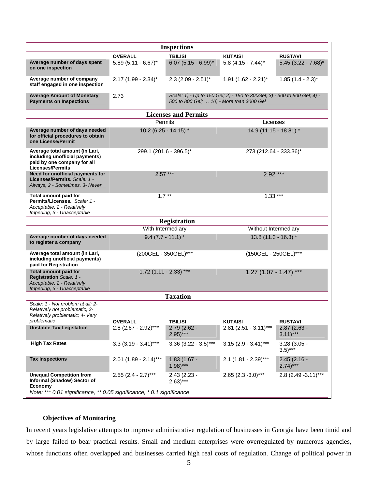| <b>Inspections</b>                                                                                                         |                          |                                           |                                                                          |                                        |
|----------------------------------------------------------------------------------------------------------------------------|--------------------------|-------------------------------------------|--------------------------------------------------------------------------|----------------------------------------|
|                                                                                                                            | <b>OVERALL</b>           | <b>TBILISI</b>                            | <b>KUTAISI</b>                                                           | <b>RUSTAVI</b>                         |
| Average number of days spent<br>on one inspection                                                                          | $5.89(5.11 - 6.67)^{*}$  | $6.07(5.15 - 6.99)^{*}$                   | $5.8$ (4.15 - 7.44)*                                                     | $5.45$ (3.22 - 7.68)*                  |
| Average number of company<br>staff engaged in one inspection                                                               | $2.17(1.99 - 2.34)^{*}$  | $2.3$ (2.09 - 2.51)*                      | $1.91$ (1.62 - 2.21)*                                                    | $1.85(1.4 - 2.3)^{*}$                  |
| <b>Average Amount of Monetary</b><br><b>Payments on Inspections</b>                                                        | 2.73                     | 500 to 800 Gel;  10) - More than 3000 Gel | Scale: 1) - Up to 150 Gel; 2) - 150 to 300Gel; 3) - 300 to 500 Gel; 4) - |                                        |
| <b>Licenses and Permits</b>                                                                                                |                          |                                           |                                                                          |                                        |
|                                                                                                                            | Permits                  |                                           | Licenses                                                                 |                                        |
| Average number of days needed<br>for official procedures to obtain<br>one License/Permit                                   | 10.2 (6.25 - 14.15) $*$  |                                           | 14.9 (11.15 - 18.81) *                                                   |                                        |
| Average total amount (in Lari,<br>including unofficial payments)<br>paid by one company for all<br><b>Licenses/Permits</b> | 299.1 (201.6 - 396.5)*   |                                           | 273 (212.64 - 333.36)*                                                   |                                        |
| Need for unofficial payments for<br>Licenses/Permits, Scale: 1 -<br>Always, 2 - Sometimes, 3- Never                        |                          | $2.57***$<br>$2.92***$                    |                                                                          |                                        |
| Total amount paid for<br>Permits/Licenses. Scale: 1 -<br>Acceptable, 2 - Relatively<br>Impeding, 3 - Unacceptable          | $1.7***$                 |                                           | $1.33***$                                                                |                                        |
|                                                                                                                            |                          | <b>Registration</b>                       |                                                                          |                                        |
|                                                                                                                            | With Intermediary        |                                           | Without Intermediary                                                     |                                        |
| Average number of days needed<br>to register a company                                                                     | $9.4$ (7.7 - 11.1) *     |                                           | $13.8(11.3 - 16.3)$ *                                                    |                                        |
| Average total amount (in Lari,<br>including unofficial payments)<br>paid for Registration                                  | (200GEL - 350GEL)***     |                                           | (150GEL - 250GEL)***                                                     |                                        |
| <b>Total amount paid for</b><br>Registration Scale: 1 -                                                                    | $1.72$ (1.11 - 2.33) *** |                                           | $1.27(1.07 - 1.47)$ ***                                                  |                                        |
| Acceptable, 2 - Relatively<br>Impeding, 3 - Unacceptable                                                                   |                          |                                           |                                                                          |                                        |
|                                                                                                                            |                          | <b>Taxation</b>                           |                                                                          |                                        |
| Scale: 1 - Not problem at all: 2-<br>Relatively not problematic; 3-<br>Relatively problematic; 4- Very                     |                          |                                           |                                                                          |                                        |
| problematic                                                                                                                | <b>OVERALL</b>           | <b>TBILISI</b>                            | <b>KUTAISI</b>                                                           | <b>RUSTAVI</b>                         |
| <b>Unstable Tax Legislation</b>                                                                                            | $2.8$ (2.67 - 2.92)***   | 2.79 (2.62 -<br>$(2.95)***$               | $2.81$ (2.51 - 3.11)***                                                  | $2.87(2.63 -$<br>$3.11$ <sup>***</sup> |
| <b>High Tax Rates</b>                                                                                                      | $3.3(3.19 - 3.41)$ ***   | $3.36$ (3.22 - 3.5)***                    | $3.15$ (2.9 - 3.41)***                                                   | $3.28(3.05 -$<br>$(3.5)***$            |
| <b>Tax Inspections</b>                                                                                                     | $2.01$ (1.89 - 2.14)***  | $1.83(1.67 -$<br>$(1.98)***$              | $2.1$ (1.81 - 2.39)***                                                   | $2.45(2.16 -$<br>$2.74$ <sup>***</sup> |
| <b>Unequal Competition from</b><br>Informal (Shadow) Sector of<br>Economy                                                  | $2.55$ (2.4 - 2.7)***    | $2.43(2.23 -$<br>$2.63$ )***              | $2.65$ (2.3 - 3.0)***                                                    | 2.8 (2.49 - 3.11)***                   |
| Note: *** 0.01 significance, ** 0.05 significance, * 0.1 significance                                                      |                          |                                           |                                                                          |                                        |

## **Objectives of Monitoring**

In recent years legislative attempts to improve administrative regulation of businesses in Georgia have been timid and by large failed to bear practical results. Small and medium enterprises were overregulated by numerous agencies, whose functions often overlapped and businesses carried high real costs of regulation. Change of political power in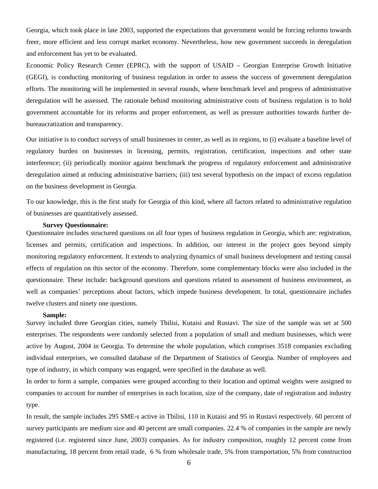Georgia, which took place in late 2003, supported the expectations that government would be forcing reforms towards freer, more efficient and less corrupt market economy. Nevertheless, how new government succeeds in deregulation and enforcement has yet to be evaluated.

Economic Policy Research Center (EPRC), with the support of USAID – Georgian Enterprise Growth Initiative (GEGI), is conducting monitoring of business regulation in order to assess the success of government deregulation efforts. The monitoring will be implemented in several rounds, where benchmark level and progress of administrative deregulation will be assessed. The rationale behind monitoring administrative costs of business regulation is to hold government accountable for its reforms and proper enforcement, as well as pressure authorities towards further debureaucratization and transparency.

Our initiative is to conduct surveys of small businesses in center, as well as in regions, to (i) evaluate a baseline level of regulatory burden on businesses in licensing, permits, registration, certification, inspections and other state interference; (ii) periodically monitor against benchmark the progress of regulatory enforcement and administrative deregulation aimed at reducing administrative barriers; (iii) test several hypothesis on the impact of excess regulation on the business development in Georgia.

To our knowledge, this is the first study for Georgia of this kind, where all factors related to administrative regulation of businesses are quantitatively assessed.

#### **Survey Questionnaire:**

Questionnaire includes structured questions on all four types of business regulation in Georgia, which are: registration, licenses and permits, certification and inspections. In addition, our interest in the project goes beyond simply monitoring regulatory enforcement. It extends to analyzing dynamics of small business development and testing causal effects of regulation on this sector of the economy. Therefore, some complementary blocks were also included in the questionnaire. These include: background questions and questions related to assessment of business environment, as well as companies' perceptions about factors, which impede business development. In total, questionnaire includes twelve clusters and ninety one questions.

#### **Sample:**

Survey included three Georgian cities, namely Tbilisi, Kutaisi and Rustavi. The size of the sample was set at 500 enterprises. The respondents were randomly selected from a population of small and medium businesses, which were active by August, 2004 in Georgia. To determine the whole population, which comprises 3518 companies excluding individual enterprises, we consulted database of the Department of Statistics of Georgia. Number of employees and type of industry, in which company was engaged, were specified in the database as well.

In order to form a sample, companies were grouped according to their location and optimal weights were assigned to companies to account for number of enterprises in each location, size of the company, date of registration and industry type.

In result, the sample includes 295 SME-s active in Tbilisi, 110 in Kutaisi and 95 in Rustavi respectively. 60 percent of survey participants are medium size and 40 percent are small companies. 22.4 % of companies in the sample are newly registered (i.e. registered since June, 2003) companies. As for industry composition, roughly 12 percent come from manufacturing, 18 percent from retail trade, 6 % from wholesale trade, 5% from transportation, 5% from construction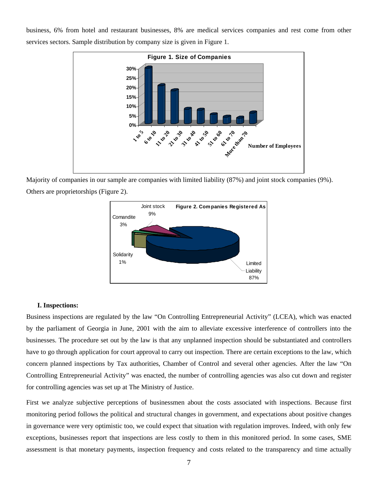business, 6% from hotel and restaurant businesses, 8% are medical services companies and rest come from other services sectors. Sample distribution by company size is given in Figure 1.



Majority of companies in our sample are companies with limited liability (87%) and joint stock companies (9%). Others are proprietorships (Figure 2).



## **I. Inspections:**

Business inspections are regulated by the law "On Controlling Entrepreneurial Activity" (LCEA), which was enacted by the parliament of Georgia in June, 2001 with the aim to alleviate excessive interference of controllers into the businesses. The procedure set out by the law is that any unplanned inspection should be substantiated and controllers have to go through application for court approval to carry out inspection. There are certain exceptions to the law, which concern planned inspections by Tax authorities, Chamber of Control and several other agencies. After the law "On Controlling Entrepreneurial Activity" was enacted, the number of controlling agencies was also cut down and register for controlling agencies was set up at The Ministry of Justice.

First we analyze subjective perceptions of businessmen about the costs associated with inspections. Because first monitoring period follows the political and structural changes in government, and expectations about positive changes in governance were very optimistic too, we could expect that situation with regulation improves. Indeed, with only few exceptions, businesses report that inspections are less costly to them in this monitored period. In some cases, SME assessment is that monetary payments, inspection frequency and costs related to the transparency and time actually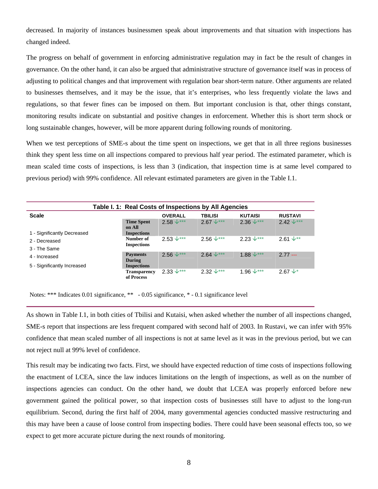decreased. In majority of instances businessmen speak about improvements and that situation with inspections has changed indeed.

The progress on behalf of government in enforcing administrative regulation may in fact be the result of changes in governance. On the other hand, it can also be argued that administrative structure of governance itself was in process of adjusting to political changes and that improvement with regulation bear short-term nature. Other arguments are related to businesses themselves, and it may be the issue, that it's enterprises, who less frequently violate the laws and regulations, so that fewer fines can be imposed on them. But important conclusion is that, other things constant, monitoring results indicate on substantial and positive changes in enforcement. Whether this is short term shock or long sustainable changes, however, will be more apparent during following rounds of monitoring.

When we test perceptions of SME-s about the time spent on inspections, we get that in all three regions businesses think they spent less time on all inspections compared to previous half year period. The estimated parameter, which is mean scaled time costs of inspections, is less than 3 (indication, that inspection time is at same level compared to previous period) with 99% confidence. All relevant estimated parameters are given in the Table I.1.

| Table I. 1: Real Costs of Inspections by All Agencies |                                                         |                      |                      |                   |                       |
|-------------------------------------------------------|---------------------------------------------------------|----------------------|----------------------|-------------------|-----------------------|
| <b>Scale</b>                                          |                                                         | <b>OVERALL</b>       | <b>TBILISI</b>       | <b>KUTAISI</b>    | <b>RUSTAVI</b>        |
| 1 - Significantly Decreased                           | <b>Time Spent</b><br>on All<br><b>Inspections</b>       | $2.58 \downarrow***$ | $2.67 \downarrow***$ | $2.36 \sqrt{***}$ | $2.42 \sqrt{***}$     |
| 2 - Decreased<br>3 - The Same<br>4 - Increased        | Number of<br><b>Inspections</b>                         | $2.53 \sqrt{***}$    | $2.56 \sqrt{***}$    | $2.23 \sqrt{***}$ | $2.61 \sqrt{1 + x^2}$ |
|                                                       | <b>Payments</b><br>During                               | $2.56 \sqrt{***}$    | $2.64 \sqrt{***}$    | $1.88 \sqrt{***}$ | $2.77 -$              |
| 5 - Significantly Increased                           | <b>Inspections</b><br><b>Transparency</b><br>of Process | $2.33 \sqrt{***}$    | $2.32 \downarrow***$ | $1.96 \sqrt{***}$ | 2.67 $\sqrt{*}$       |

Notes: \*\*\* Indicates 0.01 significance, \*\* - 0.05 significance, \* - 0.1 significance level

As shown in Table I.1, in both cities of Tbilisi and Kutaisi, when asked whether the number of all inspections changed, SME-s report that inspections are less frequent compared with second half of 2003. In Rustavi, we can infer with 95% confidence that mean scaled number of all inspections is not at same level as it was in the previous period, but we can not reject null at 99% level of confidence.

This result may be indicating two facts. First, we should have expected reduction of time costs of inspections following the enactment of LCEA, since the law induces limitations on the length of inspections, as well as on the number of inspections agencies can conduct. On the other hand, we doubt that LCEA was properly enforced before new government gained the political power, so that inspection costs of businesses still have to adjust to the long-run equilibrium. Second, during the first half of 2004, many governmental agencies conducted massive restructuring and this may have been a cause of loose control from inspecting bodies. There could have been seasonal effects too, so we expect to get more accurate picture during the next rounds of monitoring.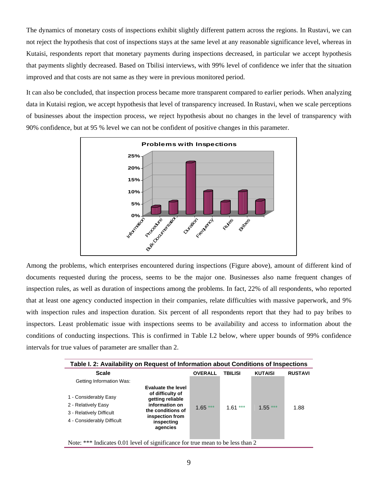The dynamics of monetary costs of inspections exhibit slightly different pattern across the regions. In Rustavi, we can not reject the hypothesis that cost of inspections stays at the same level at any reasonable significance level, whereas in Kutaisi, respondents report that monetary payments during inspections decreased, in particular we accept hypothesis that payments slightly decreased. Based on Tbilisi interviews, with 99% level of confidence we infer that the situation improved and that costs are not same as they were in previous monitored period.

It can also be concluded, that inspection process became more transparent compared to earlier periods. When analyzing data in Kutaisi region, we accept hypothesis that level of transparency increased. In Rustavi, when we scale perceptions of businesses about the inspection process, we reject hypothesis about no changes in the level of transparency with 90% confidence, but at 95 % level we can not be confident of positive changes in this parameter.



Among the problems, which enterprises encountered during inspections (Figure above), amount of different kind of documents requested during the process, seems to be the major one. Businesses also name frequent changes of inspection rules, as well as duration of inspections among the problems. In fact, 22% of all respondents, who reported that at least one agency conducted inspection in their companies, relate difficulties with massive paperwork, and 9% with inspection rules and inspection duration. Six percent of all respondents report that they had to pay bribes to inspectors. Least problematic issue with inspections seems to be availability and access to information about the conditions of conducting inspections. This is confirmed in Table I.2 below, where upper bounds of 99% confidence intervals for true values of parameter are smaller than 2.

|                                                                                                        | Table I. 2: Availability on Request of Information about Conditions of Inspections                                                                    |                |                |                |                |
|--------------------------------------------------------------------------------------------------------|-------------------------------------------------------------------------------------------------------------------------------------------------------|----------------|----------------|----------------|----------------|
| <b>Scale</b>                                                                                           |                                                                                                                                                       | <b>OVERALL</b> | <b>TBILISI</b> | <b>KUTAISI</b> | <b>RUSTAVI</b> |
| Getting Information Was:                                                                               |                                                                                                                                                       |                |                |                |                |
| 1 - Considerably Easy<br>2 - Relatively Easy<br>3 - Relatively Difficult<br>4 - Considerably Difficult | <b>Evaluate the level</b><br>of difficulty of<br>getting reliable<br>information on<br>the conditions of<br>inspection from<br>inspecting<br>agencies | $1.65***$      | $1.61***$      | $1.55***$      | 1.88           |
| Note: *** Indicates 0.01 level of significance for true mean to be less than 2                         |                                                                                                                                                       |                |                |                |                |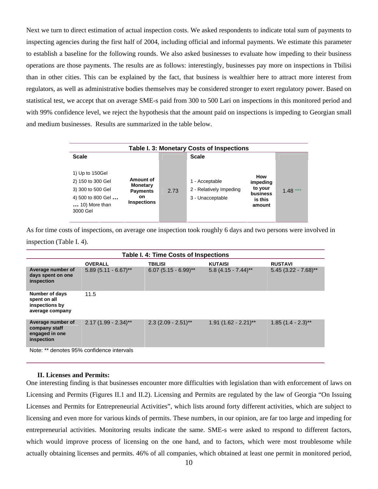Next we turn to direct estimation of actual inspection costs. We asked respondents to indicate total sum of payments to inspecting agencies during the first half of 2004, including official and informal payments. We estimate this parameter to establish a baseline for the following rounds. We also asked businesses to evaluate how impeding to their business operations are those payments. The results are as follows: interestingly, businesses pay more on inspections in Tbilisi than in other cities. This can be explained by the fact, that business is wealthier here to attract more interest from regulators, as well as administrative bodies themselves may be considered stronger to exert regulatory power. Based on statistical test, we accept that on average SME-s paid from 300 to 500 Lari on inspections in this monitored period and with 99% confidence level, we reject the hypothesis that the amount paid on inspections is impeding to Georgian small and medium businesses. Results are summarized in the table below.

|                                                                                                             |                                                                                    |      | Table I. 3: Monetary Costs of Inspections                     |                                                             |           |
|-------------------------------------------------------------------------------------------------------------|------------------------------------------------------------------------------------|------|---------------------------------------------------------------|-------------------------------------------------------------|-----------|
| <b>Scale</b>                                                                                                |                                                                                    |      | <b>Scale</b>                                                  |                                                             |           |
| 1) Up to 150Gel<br>2) 150 to 300 Gel<br>3) 300 to 500 Gel<br>4) 500 to 800 Gel<br>10) More than<br>3000 Gel | Amount of<br><b>Monetary</b><br><b>Payments</b><br><b>on</b><br><b>Inspections</b> | 2.73 | 1 - Acceptable<br>2 - Relatively Impeding<br>3 - Unacceptable | How<br>impeding<br>to your<br>business<br>is this<br>amount | $1.48***$ |

As for time costs of inspections, on average one inspection took roughly 6 days and two persons were involved in inspection (Table I. 4).

|                                                                     | <b>Table I. 4: Time Costs of Inspections</b> |                        |                        |                        |
|---------------------------------------------------------------------|----------------------------------------------|------------------------|------------------------|------------------------|
|                                                                     | <b>OVERALL</b>                               | <b>TBILISI</b>         | <b>KUTAISI</b>         | <b>RUSTAVI</b>         |
| Average number of<br>days spent on one<br>inspection                | $5.89(5.11 - 6.67)$ **                       | $6.07(5.15 - 6.99)$ ** | $5.8(4.15 - 7.44)$ **  | $5.45$ (3.22 - 7.68)** |
| Number of days<br>spent on all<br>inspections by<br>average company | 11.5                                         |                        |                        |                        |
| Average number of<br>company staff<br>engaged in one<br>inspection  | $2.17(1.99 - 2.34)$ **                       | $2.3$ (2.09 - 2.51)**  | $1.91$ (1.62 - 2.21)** | $1.85(1.4 - 2.3)$ **   |
| $\sim$ $\sim$ $\sim$<br>.                                           |                                              |                        |                        |                        |

Note: \*\* denotes 95% confidence intervals

#### **II. Licenses and Permits:**

One interesting finding is that businesses encounter more difficulties with legislation than with enforcement of laws on Licensing and Permits (Figures II.1 and II.2). Licensing and Permits are regulated by the law of Georgia "On Issuing Licenses and Permits for Entrepreneurial Activities", which lists around forty different activities, which are subject to licensing and even more for various kinds of permits. These numbers, in our opinion, are far too large and impeding for entrepreneurial activities. Monitoring results indicate the same. SME-s were asked to respond to different factors, which would improve process of licensing on the one hand, and to factors, which were most troublesome while actually obtaining licenses and permits. 46% of all companies, which obtained at least one permit in monitored period,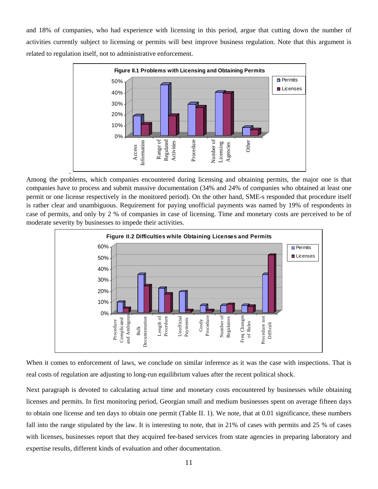and 18% of companies, who had experience with licensing in this period, argue that cutting down the number of activities currently subject to licensing or permits will best improve business regulation. Note that this argument is related to regulation itself, not to administrative enforcement.



Among the problems, which companies encountered during licensing and obtaining permits, the major one is that companies have to process and submit massive documentation (34% and 24% of companies who obtained at least one permit or one license respectively in the monitored period). On the other hand, SME-s responded that procedure itself is rather clear and unambiguous. Requirement for paying unofficial payments was named by 19% of respondents in case of permits, and only by 2 % of companies in case of licensing. Time and monetary costs are perceived to be of moderate severity by businesses to impede their activities.



When it comes to enforcement of laws, we conclude on similar inference as it was the case with inspections. That is real costs of regulation are adjusting to long-run equilibrium values after the recent political shock.

Next paragraph is devoted to calculating actual time and monetary costs encountered by businesses while obtaining licenses and permits. In first monitoring period, Georgian small and medium businesses spent on average fifteen days to obtain one license and ten days to obtain one permit (Table II. 1). We note, that at 0.01 significance, these numbers fall into the range stipulated by the law. It is interesting to note, that in 21% of cases with permits and 25 % of cases with licenses, businesses report that they acquired fee-based services from state agencies in preparing laboratory and expertise results, different kinds of evaluation and other documentation.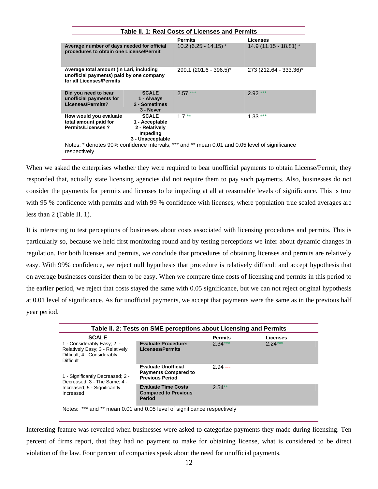| Table II. 1: Real Costs of Licenses and Permits                                                                  |                                                                                  |                                                                                                |                         |
|------------------------------------------------------------------------------------------------------------------|----------------------------------------------------------------------------------|------------------------------------------------------------------------------------------------|-------------------------|
|                                                                                                                  |                                                                                  | <b>Permits</b>                                                                                 | Licenses                |
| Average number of days needed for official<br>procedures to obtain one License/Permit                            |                                                                                  | $10.2$ (6.25 - 14.15) $*$                                                                      | $14.9(11.15 - 18.81)$ * |
| Average total amount (in Lari, including<br>unofficial payments) paid by one company<br>for all Licenses/Permits |                                                                                  | 299.1 (201.6 - 396.5)*                                                                         | 273 (212.64 - 333.36)*  |
| Did you need to bear<br>unofficial payments for<br>Licenses/Permits?                                             | <b>SCALE</b><br>1 - Always<br>2 - Sometimes<br>3 - Never                         | $2.57***$                                                                                      | $2.92***$               |
| How would you evaluate<br>total amount paid for<br><b>Permits/Licenses?</b>                                      | <b>SCALE</b><br>1 - Acceptable<br>2 - Relatively<br>Impeding<br>3 - Unacceptable | $1.7**$                                                                                        | $1.33***$               |
| respectively                                                                                                     |                                                                                  | Notes: * denotes 90% confidence intervals, *** and ** mean 0.01 and 0.05 level of significance |                         |

When we asked the enterprises whether they were required to bear unofficial payments to obtain License/Permit, they responded that, actually state licensing agencies did not require them to pay such payments. Also, businesses do not consider the payments for permits and licenses to be impeding at all at reasonable levels of significance. This is true with 95 % confidence with permits and with 99 % confidence with licenses, where population true scaled averages are less than 2 (Table II. 1).

It is interesting to test perceptions of businesses about costs associated with licensing procedures and permits. This is particularly so, because we held first monitoring round and by testing perceptions we infer about dynamic changes in regulation. For both licenses and permits, we conclude that procedures of obtaining licenses and permits are relatively easy. With 99% confidence, we reject null hypothesis that procedure is relatively difficult and accept hypothesis that on average businesses consider them to be easy. When we compare time costs of licensing and permits in this period to the earlier period, we reject that costs stayed the same with 0.05 significance, but we can not reject original hypothesis at 0.01 level of significance. As for unofficial payments, we accept that payments were the same as in the previous half year period.

|                                                                                                                  | Table II. 2: Tests on SME perceptions about Licensing and Permits                   |                |                 |  |
|------------------------------------------------------------------------------------------------------------------|-------------------------------------------------------------------------------------|----------------|-----------------|--|
| <b>SCALE</b>                                                                                                     |                                                                                     | <b>Permits</b> | <b>Licenses</b> |  |
| 1 - Considerably Easy; 2 -<br>Relatively Easy; 3 - Relatively<br>Difficult; 4 - Considerably<br><b>Difficult</b> | <b>Evaluate Procedure:</b><br><b>Licenses/Permits</b>                               | $2.34***$      | $2.24***$       |  |
| 1 - Significantly Decreased; 2 -<br>Decreased; 3 - The Same; 4 -                                                 | <b>Evaluate Unofficial</b><br><b>Payments Compared to</b><br><b>Previous Period</b> | $2.94 - -$     |                 |  |
| Increased; 5 - Significantly<br>Increased                                                                        | <b>Evaluate Time Costs</b><br><b>Compared to Previous</b><br><b>Period</b>          | $2.54**$       |                 |  |
| Notes: *** and ** mean 0.01 and 0.05 level of significance respectively                                          |                                                                                     |                |                 |  |

Interesting feature was revealed when businesses were asked to categorize payments they made during licensing. Ten percent of firms report, that they had no payment to make for obtaining license, what is considered to be direct violation of the law. Four percent of companies speak about the need for unofficial payments.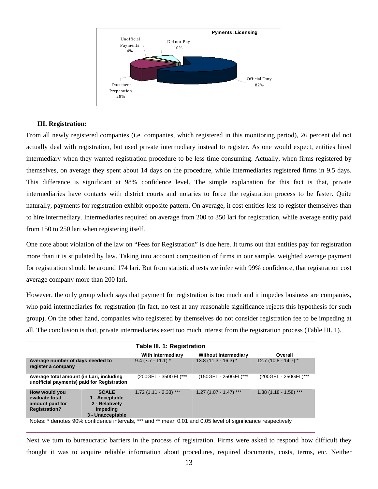

## **III. Registration:**

From all newly registered companies (i.e. companies, which registered in this monitoring period), 26 percent did not actually deal with registration, but used private intermediary instead to register. As one would expect, entities hired intermediary when they wanted registration procedure to be less time consuming. Actually, when firms registered by themselves, on average they spent about 14 days on the procedure, while intermediaries registered firms in 9.5 days. This difference is significant at 98% confidence level. The simple explanation for this fact is that, private intermediaries have contacts with district courts and notaries to force the registration process to be faster. Quite naturally, payments for registration exhibit opposite pattern. On average, it cost entities less to register themselves than to hire intermediary. Intermediaries required on average from 200 to 350 lari for registration, while average entity paid from 150 to 250 lari when registering itself.

One note about violation of the law on "Fees for Registration" is due here. It turns out that entities pay for registration more than it is stipulated by law. Taking into account composition of firms in our sample, weighted average payment for registration should be around 174 lari. But from statistical tests we infer with 99% confidence, that registration cost average company more than 200 lari.

However, the only group which says that payment for registration is too much and it impedes business are companies, who paid intermediaries for registration (In fact, no test at any reasonable significance rejects this hypothesis for such group). On the other hand, companies who registered by themselves do not consider registration fee to be impeding at all. The conclusion is that, private intermediaries exert too much interest from the registration process (Table III. 1).

|                                                                                        | Table III. 1: Registration                                                              |                                                                                                             |                             |                         |
|----------------------------------------------------------------------------------------|-----------------------------------------------------------------------------------------|-------------------------------------------------------------------------------------------------------------|-----------------------------|-------------------------|
|                                                                                        |                                                                                         | With Intermediary                                                                                           | <b>Without Intermediary</b> | Overall                 |
| Average number of days needed to<br>register a company                                 |                                                                                         | $9.4(7.7 - 11.1)^*$                                                                                         | $13.8(11.3 - 16.3)$ *       | 12.7 (10.8 - 14.7) $*$  |
| Average total amount (in Lari, including<br>unofficial payments) paid for Registration |                                                                                         | (200GEL - 350GEL)***                                                                                        | (150GEL - 250GEL)***        | (200GEL - 250GEL)***    |
| How would you<br>evaluate total<br>amount paid for<br><b>Registration?</b>             | <b>SCALE</b><br>1 - Acceptable<br>2 - Relatively<br><b>Impeding</b><br>3 - Unacceptable | $1.72$ (1.11 - 2.33) ***                                                                                    | $1.27(1.07 - 1.47)$ ***     | $1.38(1.18 - 1.58)$ *** |
|                                                                                        |                                                                                         | Notes: * denotes 90% confidence intervals, *** and ** mean 0.01 and 0.05 level of significance respectively |                             |                         |

Next we turn to bureaucratic barriers in the process of registration. Firms were asked to respond how difficult they thought it was to acquire reliable information about procedures, required documents, costs, terms, etc. Neither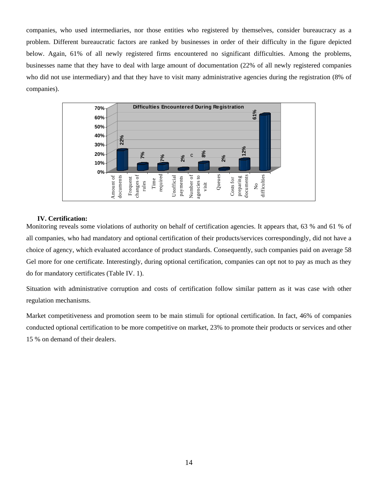companies, who used intermediaries, nor those entities who registered by themselves, consider bureaucracy as a problem. Different bureaucratic factors are ranked by businesses in order of their difficulty in the figure depicted below. Again, 61% of all newly registered firms encountered no significant difficulties. Among the problems, businesses name that they have to deal with large amount of documentation (22% of all newly registered companies who did not use intermediary) and that they have to visit many administrative agencies during the registration (8% of companies).



## **IV. Certification:**

Monitoring reveals some violations of authority on behalf of certification agencies. It appears that, 63 % and 61 % of all companies, who had mandatory and optional certification of their products/services correspondingly, did not have a choice of agency, which evaluated accordance of product standards. Consequently, such companies paid on average 58 Gel more for one certificate. Interestingly, during optional certification, companies can opt not to pay as much as they do for mandatory certificates (Table IV. 1).

Situation with administrative corruption and costs of certification follow similar pattern as it was case with other regulation mechanisms.

Market competitiveness and promotion seem to be main stimuli for optional certification. In fact, 46% of companies conducted optional certification to be more competitive on market, 23% to promote their products or services and other 15 % on demand of their dealers.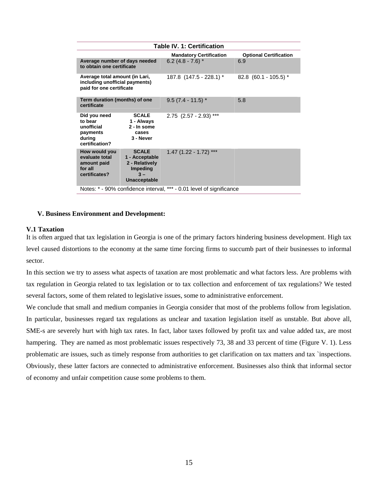|                                                                                              | <b>Table IV. 1: Certification</b>                                                     |                                                                      |                               |  |
|----------------------------------------------------------------------------------------------|---------------------------------------------------------------------------------------|----------------------------------------------------------------------|-------------------------------|--|
|                                                                                              |                                                                                       | <b>Mandatory Certification</b>                                       | <b>Optional Certification</b> |  |
| Average number of days needed<br>to obtain one certificate                                   |                                                                                       | $6.2(4.8 - 7.6)$ *                                                   | 6.9                           |  |
| Average total amount (in Lari,<br>including unofficial payments)<br>paid for one certificate |                                                                                       | 187.8 (147.5 - 228.1) *                                              | $82.8$ (60.1 - 105.5) $*$     |  |
| Term duration (months) of one<br>certificate                                                 |                                                                                       | $9.5(7.4 - 11.5)$ *                                                  | 5.8                           |  |
| Did you need<br>to bear<br>unofficial<br>payments<br>during<br>certification?                | <b>SCALE</b><br>1 - Always<br>2 - In some<br>cases<br>3 - Never                       | $2.75$ (2.57 - 2.93) ***                                             |                               |  |
| How would you<br>evaluate total<br>amount paid<br>for all<br>certificates?                   | <b>SCALE</b><br>1 - Acceptable<br>2 - Relatively<br>Impeding<br>$3 -$<br>Unacceptable | $1.47(1.22 - 1.72)$ ***                                              |                               |  |
|                                                                                              |                                                                                       | Notes: * - 90% confidence interval, *** - 0.01 level of significance |                               |  |

## **V. Business Environment and Development:**

## **V.1 Taxation**

It is often argued that tax legislation in Georgia is one of the primary factors hindering business development. High tax level caused distortions to the economy at the same time forcing firms to succumb part of their businesses to informal sector.

In this section we try to assess what aspects of taxation are most problematic and what factors less. Are problems with tax regulation in Georgia related to tax legislation or to tax collection and enforcement of tax regulations? We tested several factors, some of them related to legislative issues, some to administrative enforcement.

We conclude that small and medium companies in Georgia consider that most of the problems follow from legislation. In particular, businesses regard tax regulations as unclear and taxation legislation itself as unstable. But above all, SME-s are severely hurt with high tax rates. In fact, labor taxes followed by profit tax and value added tax, are most hampering. They are named as most problematic issues respectively 73, 38 and 33 percent of time (Figure V. 1). Less problematic are issues, such as timely response from authorities to get clarification on tax matters and tax `inspections. Obviously, these latter factors are connected to administrative enforcement. Businesses also think that informal sector of economy and unfair competition cause some problems to them.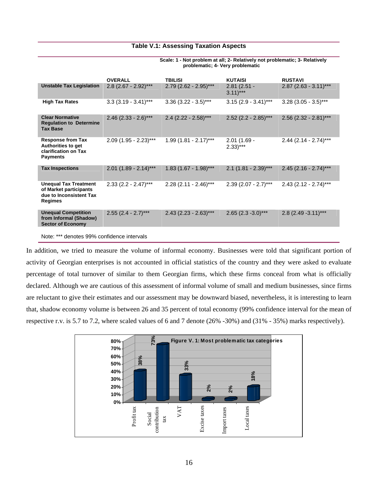## **Table V.1: Assessing Taxation Aspects**

|                                                                                              | <b>OVERALL</b>          | <b>TBILISI</b>          | <b>KUTAISI</b>                         | <b>RUSTAVI</b>          |
|----------------------------------------------------------------------------------------------|-------------------------|-------------------------|----------------------------------------|-------------------------|
| <b>Unstable Tax Legislation</b>                                                              | $2.8$ (2.67 - 2.92)***  | $2.79$ (2.62 - 2.95)*** | $2.81(2.51 -$<br>$3.11$ <sup>***</sup> | $2.87$ (2.63 - 3.11)*** |
| <b>High Tax Rates</b>                                                                        | $3.3(3.19 - 3.41)$ ***  | $3.36$ (3.22 - 3.5)***  | $3.15$ (2.9 - 3.41)***                 | $3.28$ (3.05 - 3.5)***  |
| <b>Clear Normative</b><br><b>Regulation to Determine</b><br><b>Tax Base</b>                  | $2.46$ (2.33 - 2.6)***  | $2.4$ (2.22 - 2.58)***  | $2.52$ (2.2 - 2.85)***                 | $2.56$ (2.32 - 2.81)*** |
| <b>Response from Tax</b><br>Authorities to get<br>clarification on Tax<br><b>Payments</b>    | $2.09$ (1.95 - 2.23)*** | $1.99(1.81 - 2.17)$ *** | $2.01(1.69 -$<br>$2.33$ <sup>***</sup> | $2.44$ (2.14 - 2.74)*** |
| <b>Tax Inspections</b>                                                                       | $2.01$ (1.89 - 2.14)*** | $1.83$ (1.67 - 1.98)*** | $2.1$ (1.81 - 2.39)***                 | $2.45$ (2.16 - 2.74)*** |
| <b>Unequal Tax Treatment</b><br>of Market participants<br>due to Inconsistent Tax<br>Regimes | $2.33$ (2.2 - 2.47)***  | $2.28$ (2.11 - 2.46)*** | $2.39$ (2.07 - 2.7)***                 | $2.43$ (2.12 - 2.74)*** |
| <b>Unequal Competition</b><br>from Informal (Shadow)<br><b>Sector of Economy</b>             | $2.55$ (2.4 - 2.7)***   | $2.43$ (2.23 - 2.63)*** | $2.65$ (2.3 - 3.0)***                  | $2.8$ (2.49 - 3.11)***  |
|                                                                                              |                         |                         |                                        |                         |

**Scale: 1 - Not problem at all; 2- Relatively not problematic; 3- Relatively problematic; 4- Very problematic**

Note: \*\*\* denotes 99% confidence intervals

In addition, we tried to measure the volume of informal economy. Businesses were told that significant portion of activity of Georgian enterprises is not accounted in official statistics of the country and they were asked to evaluate percentage of total turnover of similar to them Georgian firms, which these firms conceal from what is officially declared. Although we are cautious of this assessment of informal volume of small and medium businesses, since firms are reluctant to give their estimates and our assessment may be downward biased, nevertheless, it is interesting to learn that, shadow economy volume is between 26 and 35 percent of total economy (99% confidence interval for the mean of respective r.v. is 5.7 to 7.2, where scaled values of 6 and 7 denote (26% -30%) and (31% - 35%) marks respectively).

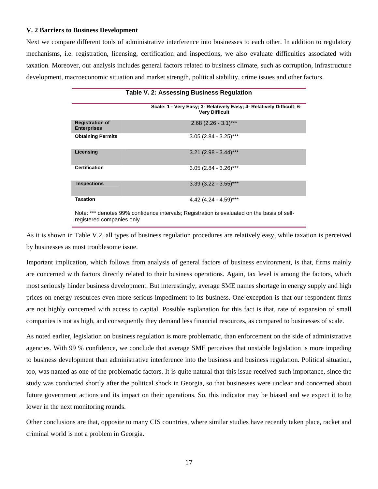## **V. 2 Barriers to Business Development**

Next we compare different tools of administrative interference into businesses to each other. In addition to regulatory mechanisms, i.e. registration, licensing, certification and inspections, we also evaluate difficulties associated with taxation. Moreover, our analysis includes general factors related to business climate, such as corruption, infrastructure development, macroeconomic situation and market strength, political stability, crime issues and other factors.

|                                              | <b>Table V. 2: Assessing Business Regulation</b>                                               |
|----------------------------------------------|------------------------------------------------------------------------------------------------|
|                                              | Scale: 1 - Very Easy; 3- Relatively Easy; 4- Relatively Difficult; 6-<br><b>Very Difficult</b> |
| <b>Registration of</b><br><b>Enterprises</b> | $2.68$ (2.26 - 3.1)***                                                                         |
| <b>Obtaining Permits</b>                     | $3.05$ (2.84 - 3.25)***                                                                        |
| Licensing                                    | $3.21$ (2.98 - 3.44)***                                                                        |
| <b>Certification</b>                         | $3.05(2.84 - 3.26)$ ***                                                                        |
| <b>Inspections</b>                           | $3.39$ (3.22 - 3.55)***                                                                        |
| <b>Taxation</b>                              | 4.42 $(4.24 - 4.59)$ ***                                                                       |

Note: \*\*\* denotes 99% confidence intervals; Registration is evaluated on the basis of selfregistered companies only

As it is shown in Table V.2, all types of business regulation procedures are relatively easy, while taxation is perceived by businesses as most troublesome issue.

Important implication, which follows from analysis of general factors of business environment, is that, firms mainly are concerned with factors directly related to their business operations. Again, tax level is among the factors, which most seriously hinder business development. But interestingly, average SME names shortage in energy supply and high prices on energy resources even more serious impediment to its business. One exception is that our respondent firms are not highly concerned with access to capital. Possible explanation for this fact is that, rate of expansion of small companies is not as high, and consequently they demand less financial resources, as compared to businesses of scale.

As noted earlier, legislation on business regulation is more problematic, than enforcement on the side of administrative agencies. With 99 % confidence, we conclude that average SME perceives that unstable legislation is more impeding to business development than administrative interference into the business and business regulation. Political situation, too, was named as one of the problematic factors. It is quite natural that this issue received such importance, since the study was conducted shortly after the political shock in Georgia, so that businesses were unclear and concerned about future government actions and its impact on their operations. So, this indicator may be biased and we expect it to be lower in the next monitoring rounds.

Other conclusions are that, opposite to many CIS countries, where similar studies have recently taken place, racket and criminal world is not a problem in Georgia.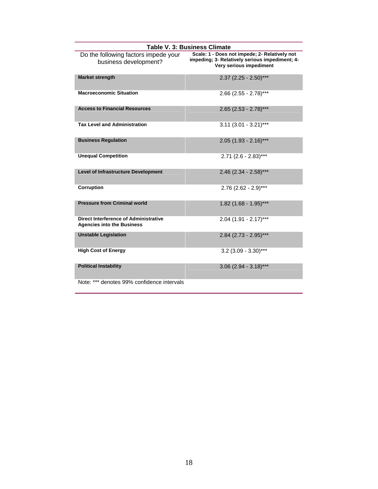| <b>Table V. 3: Business Climate</b>                                        |                                                                                                                            |
|----------------------------------------------------------------------------|----------------------------------------------------------------------------------------------------------------------------|
| Do the following factors impede your<br>business development?              | Scale: 1 - Does not impede; 2- Relatively not<br>impeding; 3- Relatively serious impediment; 4-<br>Very serious impediment |
| <b>Market strength</b>                                                     | $2.37$ (2.25 - 2.50)***                                                                                                    |
| <b>Macroeconomic Situation</b>                                             | $2.66$ (2.55 - 2.78)***                                                                                                    |
| <b>Access to Financial Resources</b>                                       | $2.65$ (2.53 - 2.78)***                                                                                                    |
| <b>Tax Level and Administration</b>                                        | $3.11$ (3.01 - 3.21)***                                                                                                    |
| <b>Business Regulation</b>                                                 | $2.05$ (1.93 - 2.16)***                                                                                                    |
| <b>Unequal Competition</b>                                                 | $2.71$ (2.6 - 2.83)***                                                                                                     |
| <b>Level of Infrastructure Development</b>                                 | $2.46$ (2.34 - 2.58)***                                                                                                    |
| Corruption                                                                 | $2.76$ (2.62 - 2.9)***                                                                                                     |
| <b>Pressure from Criminal world</b>                                        | $1.82$ (1.68 - 1.95)***                                                                                                    |
| Direct Interference of Administrative<br><b>Agencies into the Business</b> | $2.04$ (1.91 - 2.17)***                                                                                                    |
| <b>Unstable Legislation</b>                                                | $2.84$ (2.73 - 2.95)***                                                                                                    |
| <b>High Cost of Energy</b>                                                 | $3.2$ (3.09 - 3.30)***                                                                                                     |
| <b>Political Instability</b>                                               | $3.06$ (2.94 - 3.18)***                                                                                                    |
| Note: *** denotes 99% confidence intervals                                 |                                                                                                                            |